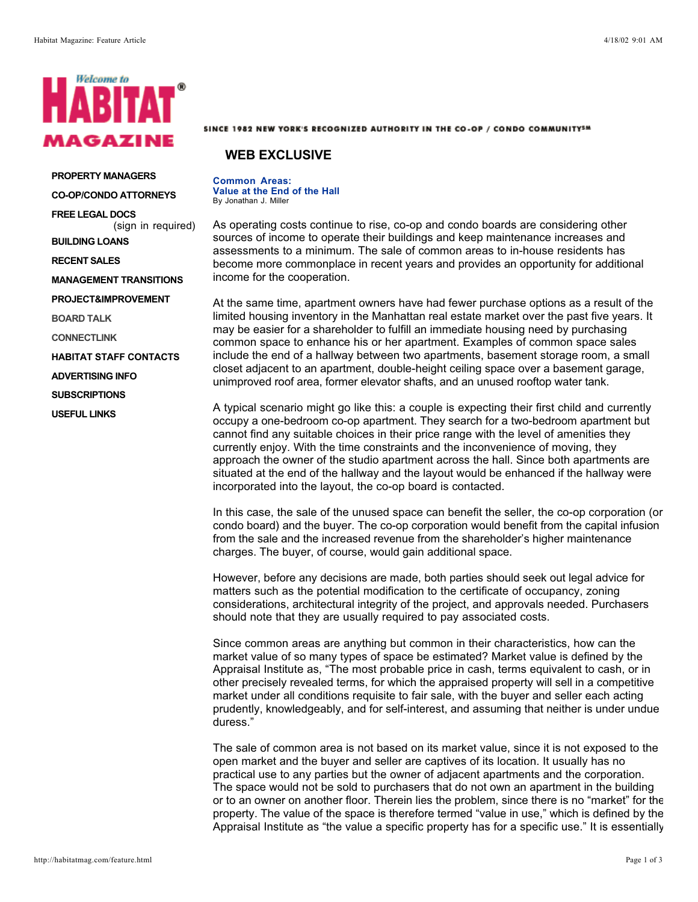

**PROPERTY MANAGERS CO-OP/CONDO ATTORNEYS**

**FREE LEGAL DOCS**

(sign in required)

**BUILDING LOANS**

**RECENT SALES**

**MANAGEMENT TRANSITIONS**

**PROJECT&IMPROVEMENT**

**BOARD TALK**

**CONNECTLINK**

**HABITAT STAFF CONTACTS**

**ADVERTISING INFO**

**SUBSCRIPTIONS**

**USEFUL LINKS**

## SINCE 1982 NEW YORK'S RECOGNIZED AUTHORITY IN THE CO-OP / CONDO COMMUNITY5M

## **WEB EXCLUSIVE**

**Common Areas: Value at the End of the Hall** By Jonathan J. Miller

As operating costs continue to rise, co-op and condo boards are considering other sources of income to operate their buildings and keep maintenance increases and assessments to a minimum. The sale of common areas to in-house residents has become more commonplace in recent years and provides an opportunity for additional income for the cooperation.

At the same time, apartment owners have had fewer purchase options as a result of the limited housing inventory in the Manhattan real estate market over the past five years. It may be easier for a shareholder to fulfill an immediate housing need by purchasing common space to enhance his or her apartment. Examples of common space sales include the end of a hallway between two apartments, basement storage room, a small closet adjacent to an apartment, double-height ceiling space over a basement garage, unimproved roof area, former elevator shafts, and an unused rooftop water tank.

A typical scenario might go like this: a couple is expecting their first child and currently occupy a one-bedroom co-op apartment. They search for a two-bedroom apartment but cannot find any suitable choices in their price range with the level of amenities they currently enjoy. With the time constraints and the inconvenience of moving, they approach the owner of the studio apartment across the hall. Since both apartments are situated at the end of the hallway and the layout would be enhanced if the hallway were incorporated into the layout, the co-op board is contacted.

In this case, the sale of the unused space can benefit the seller, the co-op corporation (or condo board) and the buyer. The co-op corporation would benefit from the capital infusion from the sale and the increased revenue from the shareholder's higher maintenance charges. The buyer, of course, would gain additional space.

However, before any decisions are made, both parties should seek out legal advice for matters such as the potential modification to the certificate of occupancy, zoning considerations, architectural integrity of the project, and approvals needed. Purchasers should note that they are usually required to pay associated costs.

Since common areas are anything but common in their characteristics, how can the market value of so many types of space be estimated? Market value is defined by the Appraisal Institute as, "The most probable price in cash, terms equivalent to cash, or in other precisely revealed terms, for which the appraised property will sell in a competitive market under all conditions requisite to fair sale, with the buyer and seller each acting prudently, knowledgeably, and for self-interest, and assuming that neither is under undue duress."

The sale of common area is not based on its market value, since it is not exposed to the open market and the buyer and seller are captives of its location. It usually has no practical use to any parties but the owner of adjacent apartments and the corporation. The space would not be sold to purchasers that do not own an apartment in the building or to an owner on another floor. Therein lies the problem, since there is no "market" for the property. The value of the space is therefore termed "value in use," which is defined by the Appraisal Institute as "the value a specific property has for a specific use." It is essentially